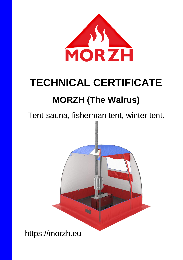

# **TECHNICAL CERTIFICATE MORZH (The Walrus)**

# Tent-sauna, fisherman tent, winter tent.



https://morzh.eu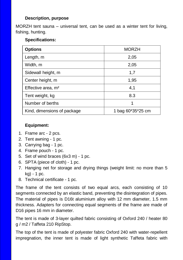#### **Description, purpose**

MORZH tent sauna – universal tent, can be used as a winter tent for living, fishing, hunting.

#### **Specifications:**

| <b>Options</b>                 | <b>MORZH</b>      |
|--------------------------------|-------------------|
| Length, m                      | 2,05              |
| Width, m                       | 2,05              |
| Sidewall height, m             | 1,7               |
| Center height, m               | 1,95              |
| Effective area, m <sup>2</sup> | 4,1               |
| Tent weight, kg                | 8.3               |
| Number of berths               | 1                 |
| Kind, dimensions of package    | 1 bag 60*35*25 cm |

# **Equipment:**

- 1. Frame arc 2 pcs.
- 2. Tent awning 1 pc.
- 3. Carrying bag 1 pc.
- 4. Frame pouch 1 pc.
- 5. Set of wind braces (6x3 m) 1 pc.
- 6. SPTA (piece of cloth) 1 pc.
- 7. Hanging net for storage and drying things (weight limit: no more than 5 kg) - 1 pc.
- 8. Technical certificate 1 pc.

The frame of the tent consists of two equal arcs, each consisting of 10 segments connected by an elastic band, preventing the disintegration of pipes. The material of pipes is D16t aluminium alloy with 12 mm diameter, 1.5 mm thickness. Adapters for connecting equal segments of the frame are made of D16 pipes 16 mm in diameter.

The tent is made of 3-layer quilted fabric consisting of Oxford 240 / heater 80 g / m2 / Taffeta 210 RipStop.

The top of the tent is made of polyester fabric Oxford 240 with water-repellent impregnation, the inner tent is made of light synthetic Taffeta fabric with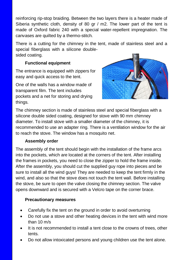reinforcing rip-stop braiding. Between the two layers there is a heater made of Siberia synthetic cloth, density of 80 gr / m2. The lower part of the tent is made of Oxford fabric 240 with a special water-repellent impregnation. The canvases are quilted by a thermo-stitch.

There is a cutting for the chimney in the tent, made of stainless steel and a special fiberglass with a silicone doublesided coating.

# **Functional equipment**

The entrance is equipped with zippers for easy and quick access to the tent.

One of the walls has a window made of transparent film. The tent includes pockets and a net for storing and drying things.



The chimney section is made of stainless steel and special fiberglass with a silicone double sided coating, designed for stove with 90 mm chimney diameter. To install stove with a smaller diameter of the chimney, it is recommended to use an adapter ring. There is a ventilation window for the air to reach the stove. The window has a mosquito net.

## **Assembly order**

The assembly of the tent should begin with the installation of the frame arcs into the pockets, which are located at the corners of the tent. After installing the frames in pockets, you need to close the zipper to hold the frame inside. After the assembly, you should cut the supplied guy rope into pieces and be sure to install all the wind guys! They are needed to keep the tent firmly in the wind, and also so that the stove does not touch the tent wall. Before installing the stove, be sure to open the valve closing the chimney section. The valve opens downward and is secured with a Velcro tape on the corner brace.

## **Precautionary measures**

- Carefully fix the tent on the ground in order to avoid overturning
- Do not use a stove and other heating devices in the tent with wind more than 10 m/s
- It is not recommended to install a tent close to the crowns of trees, other tents.
- Do not allow intoxicated persons and young children use the tent alone.